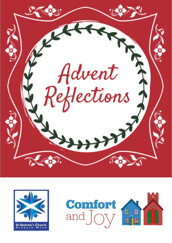



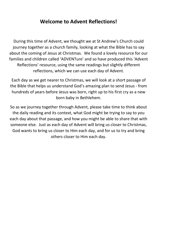# **Welcome to Advent Reflections!**

During this time of Advent, we thought we at St Andrew's Church could journey together as a church family, looking at what the Bible has to say about the coming of Jesus at Christmas. We found a lovely resource for our families and children called 'ADVENTure' and so have produced this 'Advent Reflections' resource, using the same readings but slightly different reflections, which we can use each day of Advent.

Each day as we get nearer to Christmas, we will look at a short passage of the Bible that helps us understand God's amazing plan to send Jesus - from hundreds of years before Jesus was born, right up to his first cry as a new born baby in Bethlehem.

So as we journey together through Advent, please take time to think about the daily reading and its context, what God might be trying to say to you each day about that passage, and how you might be able to share that with someone else. Just as each day of Advent will bring us closer to Christmas, God wants to bring us closer to Him each day, and for us to try and bring others closer to Him each day.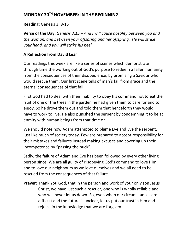## **MONDAY 30TH NOVEMBER: IN THE BEGINNING**

#### **Reading:** Genesis 3: 8-15

**Verse of the Day:** *Genesis 3:15 – And I will cause hostility between you and the woman, and between your offspring and her offspring. He will strike your head, and you will strike his heel.*

### **A Reflection from David Lear**

Our readings this week are like a series of scenes which demonstrate through time the working out of God's purpose to redeem a fallen humanity from the consequences of their disobedience, by promising a Saviour who would rescue them. Our first scene tells of man's fall from grace and the eternal consequences of that fall.

First God had to deal with their inability to obey his command not to eat the fruit of one of the trees in the garden he had given them to care for and to enjoy. So he drove them out and told them that henceforth they would have to work to live. He also punished the serpent by condemning it to be at enmity with human beings from that time on

We should note how Adam attempted to blame Eve and Eve the serpent, just like much of society today. Few are prepared to accept responsibility for their mistakes and failures instead making excuses and covering up their incompetence by "passing the buck".

Sadly, the failure of Adam and Eve has been followed by every other living person since. We are all guilty of disobeying God's command to love Him and to love our neighbours as we love ourselves and we all need to be rescued from the consequences of that failure.

**Prayer:** Thank You God, that in the person and work of your only son Jesus Christ, we have just such a rescuer, one who is wholly reliable and who will never let us down. So, even when our circumstances are difficult and the future is unclear, let us put our trust in Him and rejoice in the knowledge that we are forgiven.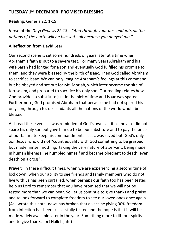## **TUESDAY 1ST DECEMBER: PROMISED BLESSING**

**Reading:** Genesis 22: 1-19

**Verse of the Day:** *Genesis 22:18 – "And through your descendants all the nations of the earth will be blessed - all because you obeyed me."*

#### **A Reflection from David Lear**

Our second scene is set some hundreds of years later at a time when Abraham's faith is put to a severe test. For many years Abraham and his wife Sarah had longed for a son and eventually God fulfilled his promise to them, and they were blessed by the birth of Isaac. Then God called Abraham to sacrifice Isaac. We can only imagine Abraham's feelings at this command, but he obeyed and set out for Mt. Moriah, which later became the site of Jerusalem, and prepared to sacrifice his only son. Our reading relates how God provided a substitute just in the nick of time and Isaac was spared. Furthermore, God promised Abraham that because he had not spared his only son, through his descendants all the nations of the world would be blessed

As I read these verses I was reminded of God's own sacrifice, he also did not spare his only son but gave him up to be our substitute and to pay the price of our failure to keep his commandments. Isaac was saved but God's only Son Jesus, who did not "count equality with God something to be grasped, but made himself nothing, taking the very nature of a servant, being made in human likeness ,he humbled himself and became obedient to death, even death on a cross".

**Prayer:** In these difficult times, when we are experiencing a second time of lockdown, when our ability to see friends and family members who do not live with us has been curtailed, when perhaps our faith too has been tested, help us Lord to remember that you have promised that we will not be tested more than we can bear. So, let us continue to give thanks and praise and to look forward to complete freedom to see our loved ones once again. (As I wrote this note, news has broken that a vaccine giving 90% freedom from infection has been successfully tested and the hope is that it will be made widely available later in the year. Something more to lift our spirits and to give thanks for! Hallelujah!)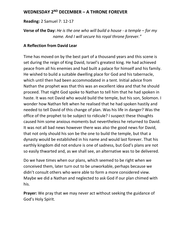### **WEDNESDAY 2ND DECEMBER – A THRONE FOREVER**

**Reading:** 2 Samuel 7: 12-17

**Verse of the Day:** *He is the one who will build a house - a temple – for my name. And I will secure his royal throne forever."*

#### **A Reflection from David Lear**

Time has moved on by the best part of a thousand years and this scene is set during the reign of King David, Israel's greatest king. He had achieved peace from all his enemies and had built a palace for himself and his family. He wished to build a suitable dwelling place for God and his tabernacle, which until then had been accommodated in a tent. Initial advice from Nathan the prophet was that this was an excellent idea and that he should proceed. That night God spoke to Nathan to tell him that he had spoken in haste. It was not David who would build the temple, but his son, Solomon. I wonder how Nathan felt when he realised that he had spoken hastily and needed to tell David of this change of plan. Was his life in danger? Was the office of the prophet to be subject to ridicule? I suspect these thoughts caused him some anxious moments but nevertheless he returned to David. It was not all bad news however there was also the good news for David, that not only should his son be the one to build the temple, but that a dynasty would be established in his name and would last forever. That his earthly kingdom did not endure is one of sadness, but God's plans are not so easily thwarted and, as we shall see, an alternative was to be delivered.

Do we have times when our plans, which seemed to be right when we conceived them, later turn out to be unworkable, perhaps because we didn't consult others who were able to form a more considered view. Maybe we did a Nathan and neglected to ask God if our plan chimed with his.

**Prayer:** We pray that we may never act without seeking the guidance of God's Holy Spirit.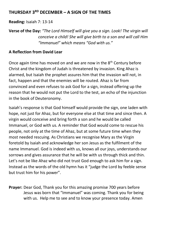## **THURSDAY 3RD DECEMBER – A SIGN OF THE TIMES**

**Reading:** Isaiah 7: 13-14

**Verse of the Day:** *"The Lord Himself will give you a sign. Look! The virgin will conceive a child! She will give birth to a son and will call Him "Immanuel" which means "God with us."*

### **A Reflection from David Lear**

Once again time has moved on and we are now in the  $8<sup>th</sup>$  Centurv before Christ and the kingdom of Judah is threatened by invasion. King Ahaz is alarmed, but Isaiah the prophet assures him that the invasion will not, in fact, happen and that the enemies will be routed. Ahaz is far from convinced and even refuses to ask God for a sign, instead offering up the reason that he would not put the Lord to the test, an echo of the injunction in the book of Deuteronomy.

Isaiah's response is that God himself would provide the sign, one laden with hope, not just for Ahaz, but for everyone else at that time and since then. A virgin would conceive and bring forth a son and he would be called Immanuel, or God with us. A reminder that God would come to rescue his people, not only at the time of Ahaz, but at some future time when they most needed rescuing. As Christians we recognise Mary as the Virgin foretold by Isaiah and acknowledge her son Jesus as the fulfilment of the name Immanuel. God is indeed with us, knows all our joys, understands our sorrows and gives assurance that he will be with us through thick and thin. Let's not be like Ahaz who did not trust God enough to ask him for a sign. Instead as the words of the old hymn has it "judge the Lord by feeble sense but trust him for his power".

**Prayer:** Dear God, Thank you for this amazing promise 700 years before Jesus was born that "Immanuel" was coming. Thank you for being with us. Help me to see and to know your presence today. Amen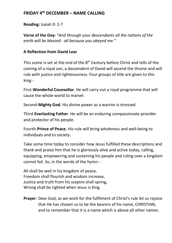## **FRIDAY 4th DECEMBER – NAME CALLING**

**Reading:** Isaiah 9: 2-7

**Verse of the Day:** *"And through your descendants all the nations of the earth will be blessed - all because you obeyed me."*

#### **A Reflection from David Lear**

This scene is set at the end of the 8<sup>th</sup> Century before Christ and tells of the coming of a royal son, a descendent of David will ascend the throne and will rule with justice and righteousness. Four groups of title are given to this king:-

First-**Wonderful Counsellor**. He will carry out a royal programme that will cause the whole world to marvel.

Second-**Mighty God.** His divine power as a warrior is stressed.

Third-**Everlasting Father**. He will be an enduring compassionate provider and protector of his people.

Fourth-**Prince of Peace.** His rule will bring wholeness and well-being to individuals and to society.

Take some time today to consider how Jesus fulfilled these descriptions and thank and praise him that he is gloriously alive and active today, calling, equipping, empowering and sustaining his people and ruling over a kingdom cannot fail. So, in the words of the hymn: -

All shall be well in his kingdom of peace, Freedom shall flourish and wisdom increase, Justice and truth from his sceptre shall spring, Wrong shall be righted when Jesus is King.

**Prayer**: Dear God, as we work for the fulfilment of Christ's rule let us rejoice that He has chosen us to be the bearers of his name, CHRISTIAN, and to remember that it is a name which is above all other names.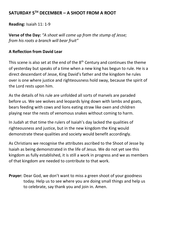## **SATURDAY 5TH DECEMBER – A SHOOT FROM A ROOT**

**Reading:** Isaiah 11: 1-9

**Verse of the Day:** *"A shoot will come up from the stump of Jesse; from his roots a branch will bear fruit"*

#### **A Reflection from David Lear**

This scene is also set at the end of the  $8<sup>th</sup>$  Century and continues the theme of yesterday but speaks of a time when a new king has begun to rule. He is a direct descendant of Jesse, King David's father and the kingdom he rules over is one where justice and righteousness hold sway, because the spirit of the Lord rests upon him.

As the details of his rule are unfolded all sorts of marvels are paraded before us. We see wolves and leopards lying down with lambs and goats, bears feeding with cows and lions eating straw like oxen and children playing near the nests of venomous snakes without coming to harm.

In Judah at that time the rulers of Isaiah's day lacked the qualities of righteousness and justice, but in the new kingdom the King would demonstrate these qualities and society would benefit accordingly.

As Christians we recognise the attributes ascribed to the Shoot of Jesse by Isaiah as being demonstrated in the life of Jesus. We do not yet see this kingdom as fully established, it is still a work in progress and we as members of that kingdom are needed to contribute to that work.

**Prayer:** Dear God, we don't want to miss a green shoot of your goodness today. Help us to see where you are doing small things and help us to celebrate, say thank you and join in. Amen.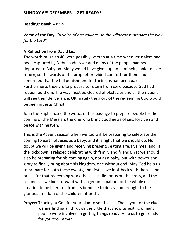## **SUNDAY 6TH DECEMBER – GET READY!**

**Reading:** Isaiah 40:3-5

**Verse of the Day***: "A voice of one calling: "In the wilderness prepare the way for the Lord".*

#### **A Reflection from David Lear**

The words of Isaiah 40 were possibly written at a time when Jerusalem had been captured by Nebuchadnezzar and many of the people had been deported to Babylon. Many would have given up hope of being able to ever return, so the words of the prophet provided comfort for them and confirmed that the full punishment for their sins had been paid. Furthermore, they are to prepare to return from exile because God had redeemed them. The way must be cleared of obstacles and all the nations will see their deliverance. Ultimately the glory of the redeeming God would be seen in Jesus Christ.

John the Baptist used the words of this passage to prepare people for the coming of the Messiah, the one who bring good news of sins forgiven and peace with heaven.

This is the Advent season when we too will be preparing to celebrate the coming to earth of Jesus as a baby, and it is right that we should do. No doubt we will be giving and receiving presents, eating a festive meal and, if the lockdown is relaxed celebrating with family and friends. Yet we should also be preparing for his coming again, not as a baby, but with power and glory to finally bring about his kingdom, one without end. May God help us to prepare for both these events, the first as we look back with thanks and praise for that redeeming work that Jesus did for us on the cross, and the second as "we look forward with eager anticipation for the whole of creation to be liberated from its bondage to decay and brought to the glorious freedom of the children of God".

**Prayer:** Thank you God for your plan to send Jesus. Thank you for the clues we are finding all through the Bible that show us just how many people were involved in getting things ready. Help us to get ready for you too. Amen.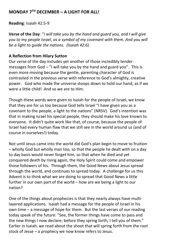### **MONDAY 7TH DECEMBER – A LIGHT FOR ALL!**

**Reading**: Isaiah 42:5-9

**Verse of the Day**: "*I will take you by the hand and guard you, and I will give you to my people Israel, as a symbol of my covenant with them. And you will be a light to guide the nations. (Isaiah 42:6)*

#### **A Reflection from Hilary Sutton**

Our verse of the day includes yet another of those incredibly tender messages from God – "I will take you by the hand and guard you". This is even more moving because the gentle, parenting character of God is contrasted in the previous verse with reference to God's almighty, creative power. God who made the universe stoops down to hold our hand, as if we were a little child! And so we are to Him.

Though these words were given to Isaiah for the people of Israel, we know that they are for us too because God tells Israel "I have given you as a covenant to the people, a light to the nations" (NRSV). God's intention was that in making Israel his special people, they should make his love known to everyone. It didn't quite work like that, of course, because the people of Israel had every human flaw that we still see in the world around us (and of course in ourselves!) today.

Not until Jesus came into the world did God's plan begin to move to fruition – wholly God but wholly man too, so that the people he dealt with on a day to day basis would never forget him, so that when he died and yet conquered death by rising again, the Holy Spirit could come and empower those followers of his. Through them, the Good News about Jesus spread through the world, and continues to spread today. A challenge for us this Advent is to think what we are doing to spread that Good News a little further in our own part of the world – how are we being a light to our nation?

One of the things about prophecies is that they nearly always have multilayered applications. Isaiah had a message for the people of Israel in his own time – a message of hope for them. But the last verses of our reading today speak of the future: "See, the former things have come to pass and the new things I now declare; before they spring forth, I tell you of them." Earlier in Isaiah, we read about the shoot that will spring forth from the root stock of Jesse – a prophecy we now know refers to Jesus.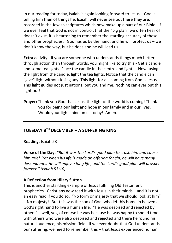In our reading for today, Isaiah is again looking forward to Jesus – God is telling him then of things he, Isaiah, will never see but there they are, recorded in the Jewish scriptures which now make up a part of our Bible. If we ever feel that God is not in control, that the "big plan" we often hear of doesn't exist, it is heartening to remember the startling accuracy of these and other prophecies. God has us by the hand, and he will protect us – we don't know the way, but he does and he will lead us.

**Extra** activity - If you are someone who understands things much better through action than through words, you might like to try this - Get a candle and some tea lights. Place the candle in the centre and light it. Now, using the light from the candle, light the tea lights. Notice that the candle can "give" light without losing any. This light for all, coming from God is Jesus. This light guides not just nations, but you and me. Nothing can ever put this light out!

**Prayer:** Thank you God that Jesus, the light of the world is coming! Thank you for being our light and hope in our family and in our lives. Would your light shine on us today! Amen.

## **TUESDAY 8TH DECEMBER – A SUFFERING KING**

**Reading**: Isaiah 53

**Verse of the Day:** *"But it was the Lord's good plan to crush him and cause him grief. Yet when his life is made an offering for sin, he will have many descendants. He will enjoy a long life, and the Lord's good plan will prosper forever." (Isaiah 53:10)*

#### **A Reflection from Hilary Sutton**

This is another startling example of Jesus fulfilling Old Testament prophecies. Christians now read it with Jesus in their minds – and it is not an easy read if you do so. "No form or majesty that we should look at him" – No majesty? But this was the son of God, who left his home in heaven at God's right hand to live a human life. "He was despised and rejected by others" – well, yes, of course he was because he was happy to spend time with others who were also despised and rejected and there he found his natural audience, his mission field. If we ever doubt that God understands our suffering, we need to remember this – that Jesus experienced human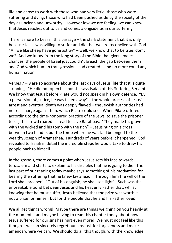life and chose to work with those who had very little, those who were suffering and dying, those who had been pushed aside by the society of the day as unclean and unworthy. However low we are feeling, we can know that Jesus reaches out to us and comes alongside us in our suffering.

There is more to bear in this passage – the stark statement that it is only because Jesus was willing to suffer and die that we are reconciled with God. "All we like sheep have gone astray" – well, we know that to be true, don't we? And we know from the long story of the Bible that given endless chances, the people of Israel just couldn't breach the gap between them and God which human transgressions had created – and no more could any human nation.

Verses  $7 - 9$  are so accurate about the last days of Jesus' life that it is quite stunning. "He did not open his mouth" says Isaiah of this Suffering Servant. We know that Jesus before Pilate would not speak in his own defence. "By a perversion of justice, he was taken away" – the whole process of Jesus' arrest and eventual death was deeply flawed – the Jewish authorities had no real charge against him, which Pilate could see. When Pilate offered, according to the time-honoured practice of the Jews, to save the prisoner Jesus, the crowd roared instead to save Barabbas. "They made his grave with the wicked and his tomb with the rich" – Jesus hung on a cross between two bandits but the tomb where he was laid belonged to the wealthy Joseph of Aramathea. Hundreds of years before it happened, God revealed to Isaiah in detail the incredible steps he would take to draw his people back to himself.

In the gospels, there comes a point when Jesus sets his face towards Jerusalem and starts to explain to his disciples that he is going to die. The last part of our reading today maybe says something of his motivation for bearing the suffering that he knew lay ahead. "Through him the will of the Lord shall prosper", "Out of his anguish, he shall see light". Such was the unbreakable bond between Jesus and his heavenly Father that, whilst knowing that he must suffer, Jesus believed that the prize was worth it  $$ not a prize for himself but for the people that he and his Father loved.

We all get things wrong! Maybe there are things weighing on you heavily at the moment – and maybe having to read this chapter today about how Jesus suffered for our sins has hurt even more! We must not feel like this though – we can sincerely regret our sins, ask for forgiveness and make amends where we can. We should do all this though, with the knowledge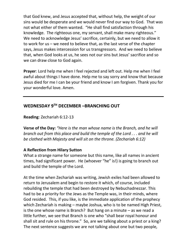that God knew, and Jesus accepted that, without help, the weight of our sins would be desperate and we would never find our way to God. That was not what either of them wanted. "He shall find satisfaction through his knowledge. The righteous one, my servant, shall make many righteous." We need to acknowledge Jesus' sacrifice, certainly, but we need to allow it to work for us – we need to believe that, as the last verse of the chapter says, Jesus makes intercession for us transgressors. And we need to believe that, when God looks at us, he sees not our sins but Jesus' sacrifice and so we can draw close to God again.

**Prayer**: Lord help me when I feel rejected and left out. Help me when I feel awful about things I have done. Help me to say sorry and know that because Jesus died for me I can be your friend and know I am forgiven. Thank you for your wonderful love. Amen.

# **WEDNESDAY 9TH DECEMBER –BRANCHING OUT**

**Reading**: Zechariah 6:12-13

**Verse of the Day:** *"Here is the man whose name is the Branch, and he will branch out from this place and build the temple of the Lord . . . and he will be clothed with Majesty and will sit on the throne. (Zechariah 6:12)*

#### **A Reflection from Hilary Sutton**

What a strange name for someone but this name, like all names in ancient times, had significant power. He (whoever "he" is!) is going to branch out and build the temple of the Lord.

At the time when Zechariah was writing, Jewish exiles had been allowed to return to Jerusalem and begin to restore it which, of course, included rebuilding the temple that had been destroyed by Nebuchadnezzar. This had to be a priority for the Jews as the Temple was, in their minds, where God resided. This, if you like, is the immediate application of the prophecy which Zechariah is making – maybe Joshua, who is to be named High Priest, is the one whose name is Branch? But hang on a minute – as we read a little further, we see that Branch is one who "shall bear royal honour and shall sit and rule on his throne." So, are we talking about a priest or a king? The next sentence suggests we are not talking about one but two people,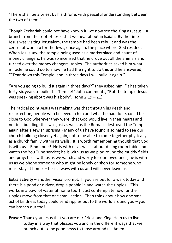"There shall be a priest by his throne, with peaceful understanding between the two of them."

Though Zechariah could not have known it, we now see the King as Jesus – a branch from the root of Jesse that we hear about in Isaiah. By the time Jesus was visiting Jerusalem, the temple had been rebuilt and was the centre of worship for the Jews, once again, the place where God resided. When Jesus saw the temple being used as a marketplace and haunt of money changers, he was so incensed that he drove out all the animals and turned over the money changers' tables. The authorities asked him what miracle he could do to show he had the right to do this and he answered, ""Tear down this Temple, and in three days I will build it again."

"Are you going to build it again in three days?" they asked him. "It has taken forty-six years to build this Temple!" John comments, "But the temple Jesus was speaking about was his body". (John 2:19 – 21)

The radical point Jesus was making was that through his death and resurrection, people who believed in him and what he had done, could be close to God wherever they were, that God would live in their hearts and not in a building (this was just as well, as the Romans destroyed the Temple again after a Jewish uprising.) Many of us have found it so hard to see our church building closed yet again, not to be able to come together physically as a church family within its walls. It is worth remembering though that God is with us – Emmanuel! He is with us as we sit at our dining room table and watch the You Tube service; he is with us as we plod round the muddy fields and pray; he is with us as we watch and worry for our loved ones; he is with us as we phone someone who might be lonely or shop for someone who must stay at home – he is always with us and will never leave us.

**Extra activity** – another visual prompt. If you are out for a walk today and there is a pond or a river, drop a pebble in and watch the ripples. (This works in a bowl of water at home too!) Just contemplate how far the ripples move from that one small action. Then think about how one small act of kindness today could send ripples out to the world around you – you can branch out too!

**Prayer**: Thank you Jesus that you are our Priest and King. Help us to live today in a way that pleases you and in the different ways that we branch out, to be good news to those around us. Amen.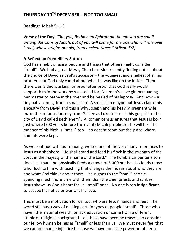## **THURSDAY 10TH DECEMBER – NOT TOO SMALL**

**Reading:** Micah 5: 1-5

**Verse of the Day:** *"But you, Bethlehem Ephrathah though you are small among the clans of Judah, out of you will come for me one who will rule over Israel, whose origins are old, from ancient times." (Micah 5:2)*

#### **A Reflection from Hilary Sutton**

God has a habit of using people and things that others might consider "small". We had a great Messy Church session recently finding out all about the choice of David as Saul's successor – the youngest and smallest of all his brothers but God only cared about what he was like on the inside. Then there was Gideon, asking for proof after proof that God really would support him in the work he was called for; Naaman's slave girl persuading her master to bathe in the river and be healed of his leprosy. And now – a tiny baby coming from a small clan! A small clan maybe but Jesus claims his ancestry from David and this is why Joseph and his heavily pregnant wife make the arduous journey from Galilee as Luke tells us in his gospel "to the city of David called Bethlehem". A Roman census ensures that Jesus is born just where (700 years before the event) Micah prophesies he will be. The manner of his birth is "small" too – no decent room but the place where animals were kept.

As we continue with our reading, we see one of the very many references to Jesus as a shepherd, "He shall stand and feed his flock in the strength of the Lord, in the majesty of the name of the Lord." The humble carpenter's son does just that – he physically feeds a crowd of 5,000 but he also feeds those who flock to him with teaching that changes their ideas about who they are and what God thinks about them. Jesus goes to the "small" people – spending much more time with them than the chief priests and scribes. Jesus shows us God's heart for us "small" ones. No one is too insignificant to escape his notice or warrant his love.

This must be a motivation for us, too, who are Jesus' hands and feet. The world still has a way of making certain types of people "small". Those who have little material wealth, or lack education or come from a different ethnic or religious background – all these have become reasons to consider our fellow human beings as "small" or less than us. We must never feel that we cannot change injustice because we have too little power or influence –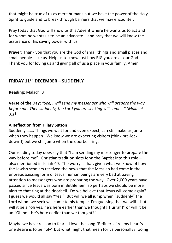that might be true of us as mere humans but we have the power of the Holy Spirit to guide and to break through barriers that we may encounter.

Pray today that God will show us this Advent where he wants us to act and for whom he wants us to be an advocate – and pray that we will know the assurance of his saving power with us.

**Prayer:** Thank you that you are the God of small things and small places and small people - like us. Help us to know just how BIG you are as our God. Thank you for loving us and giving all of us a place in your family. Amen.

# **FRIDAY 11TH DECEMBER – SUDDENLY**

#### **Reading:** Malachi 3

**Verse of the Day:** *"See, I will send my messenger who will prepare the way before me. Then suddenly, the Lord you are seeking will come. ." (Malachi 3:1)*

#### **A Reflection from Hilary Sutton**

Suddenly ……. Things we wait for and even expect, can still make us jump when they happen! We know we are expecting visitors (think pre-lock down!!) but we still jump when the doorbell rings.

Our reading today does say that "I am sending my messenger to prepare the way before me". Christian tradition slots John the Baptist into this role – also mentioned in Isaiah 40. The worry is that, given what we know of how the Jewish scholars received the news that the Messiah had come in the unprepossessing form of Jesus, human beings are very bad at paying attention to messengers who are preparing the way. Over 2,000 years have passed since Jesus was born in Bethlehem, so perhaps we should be more alert to that ring at the doorbell. Do we believe that Jesus will come again? I guess we would all say "Yes!" But will we all jump when "suddenly" the Lord whom we seek will come to his temple. I'm guessing that we will – but will it be a "oh yes, he's here earlier than we thought! Hurrah!" or will it be an "Oh no! He's here earlier than we thought?"

Maybe we have reason to fear – I love the song "Refiner's fire, my heart's one desire is to be holy" but what might that mean for us personally? Going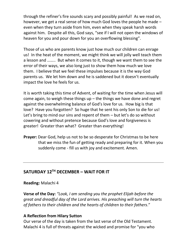through the refiner's fire sounds scary and possibly painful! As we read on, however, we get a real sense of how much God loves the people he made – even when they turn aside from him, even when they speak harsh words against him. Despite all this, God says, "see if I will not open the windows of heaven for you and pour down for you an overflowing blessing".

Those of us who are parents know just how much our children can enrage us! In the heat of the moment, we might think we will jolly well teach them a lesson and …….. But when it comes to it, though we want them to see the error of their ways, we also long just to show them how much we love them. I believe that we feel these impulses because it is the way God parents us. We let him down and he is saddened but it doesn't eventually impact the love he feels for us.

It is worth taking this time of Advent, of waiting for the time when Jesus will come again, to weigh these things up – the things we have done and regret against the overwhelming balance of God's love for us. How big is that love? Have you forgotten? So huge that he sent his only Son to die for us! Let's bring to mind our sins and repent of them – but let's do so without cowering and without pretence because God's love and forgiveness is greater! Greater than what? Greater than everything!

**Prayer:** Dear God, help us not to be so desperate for Christmas to be here that we miss the fun of getting ready and preparing for it. When you suddenly come - fill us with joy and excitement. Amen.

# **SATURDAY 12TH DECEMBER – WAIT FOR IT**

**Reading:** Malachi 4

**Verse of the Day:** *"Look, I am sending you the prophet Elijah before the great and dreadful day of the Lord arrives. His preaching will turn the hearts of fathers to their children and the hearts of children to their fathers*."

#### **A Reflection from Hilary Sutton**

Our verse of the day is taken from the last verse of the Old Testament. Malachi 4 is full of threats against the wicked and promise for "you who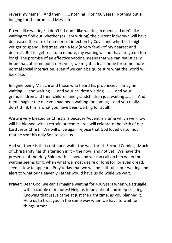revere my name". And then …….. nothing! For 400 years! Nothing but a longing for the promised Messiah!

Do you like waiting? I don't! I don't like waiting in queues! I don't like waiting to find out whether (as I am writing) the current lockdown will have decreased the rate of numbers of infection by Covid and whether I might yet get to spend Christmas with a few (a very few!) of my nearest and dearest. But if I get real for a minute, my waiting will not have to go on too long! The promise of an effective vaccine means that we can realistically hope that, at some point next year, we might at least hope for some more normal social interaction, even if we can't be quite sure what the world will look like.

Imagine being Malachi and those who heard his prophecies! Imagine waiting …. and waiting ….. and your children waiting …….. and your grandchildren and their children and grandchildren just waiting ……! And then imagine the one you had been waiting for coming – and you really don't think this is what you have been waiting for at all!

We are very blessed as Christians because Advent is a time which we know will be blessed with a certain outcome – we will celebrate the birth of our Lord Jesus Christ. We will once again rejoice that God loved us so much that he sent his only Son to save us.

And yet there is that continued wait - the wait for his Second Coming. Much of Christianity has this tension in it – the now, and not yet. We have the presence of the Holy Spirit with us now and we can call on him when the waiting seems long, when what we most desire or long for, or even dread, seems slow to appear. Pray today that we will be faithful in our waiting and alert to what our Heavenly Father would have us do while we wait.

**Prayer:** Dear God, we can't imagine waiting for 400 years when we struggle with a couple of minutes! Help us to be patient and keep trusting. Knowing that Jesus came at just the right time, as you planned it. Help us to trust you in the same way when we have to wait for things. Amen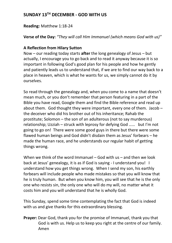## **SUNDAY 13TH DECEMBER - GOD WITH US**

#### **Reading:** Matthew 1:18-24

**Verse of the Day:** *"They will call Him Immanuel (which means God with us)"*

#### **A Reflection from Hilary Sutton**

Now – our reading today starts **after** the long genealogy of Jesus – but actually, I encourage you to go back and to read it anyway because it is so important in following God's good plan for his people and how he gently and patiently leads us to understand that, if we are to find our way back to a place in heaven, which is what he wants for us, we simply cannot do it by ourselves.

So read through the genealogy and, when you come to a name that doesn't mean much, or you don't remember that person featuring in a part of the Bible you have read, Google them and find the Bible reference and read up about them. God thought they were important, every one of them. Jacob – the deceiver who did his brother out of his inheritance; Rahab the prostitute; Solomon – the son of an adulterous (not to say murderous) relationship; Uzziah – struck with leprosy for defying God …… but I'm not going to go on! There were some good guys in there but there were some flawed human beings and God didn't disdain them as Jesus' forbears – he made the human race, and he understands our regular habit of getting things wrong.

When we think of the word Immanuel – God with us – and then we look back at Jesus' genealogy, it is as if God is saying - I understand you! I understand how you get things wrong. When I send my son, his earthly forbears will include people who made mistakes so that you will know that he is truly human. But when you know him, you will see that he is the only one who resists sin, the only one who will do my will, no matter what it costs him and you will understand that he is wholly God.

This Sunday, spend some time contemplating the fact that God is indeed with us and give thanks for this extraordinary blessing.

**Prayer:** Dear God, thank you for the promise of Immanuel, thank you that God is with us. Help us to keep you right at the centre of our family. Amen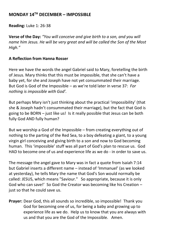### **MONDAY 14TH DECEMBER – IMPOSSIBLE**

**Reading:** Luke 1: 26-38

**Verse of the Day:** *"You will conceive and give birth to a son, and you will name him Jesus. He will be very great and will be called the Son of the Most High."*

#### **A Reflection from Hanna Rosser**

Here we have the words the angel Gabriel said to Mary, foretelling the birth of Jesus. Mary thinks that this must be impossible, that she can't have a baby yet, for she and Joseph have not yet consummated their marriage. But God is God of the Impossible – as we're told later in verse 37: *For nothing is impossible with God'.*

But perhaps Mary isn't just thinking about the practical 'impossibility' (that she & Joseph hadn't consummated their marriage), but the fact that God is going to be BORN – just like us! Is it really possible that Jesus can be both fully God AND fully human?

But we worship a God of the Impossible – from creating everything out of nothing to the parting of the Red Sea, to a boy defeating a giant, to a young virgin girl conceiving and giving birth to a son and now to God becoming human. This 'impossible' stuff was all part of God's plan to rescue us. God HAD to become one of us and experience life as we do - in order to save us.

The message the angel gave to Mary was in fact a quote from Isaiah 7:14 but Gabriel inserts a different name – instead of 'Immanuel' (as we looked at yesterday), he tells Mary the name that God's Son would normally be called: JESUS, which means "Saviour." So appropriate, because it is only God who can save!' So God the Creator was becoming like his Creation – just so that he could save us.

**Prayer:** Dear God, this all sounds so incredible, so impossible! Thank you God for becoming one of us, for being a baby and growing up to experience life as we do. Help us to know that you are always with us and that you are the God of the Impossible. Amen.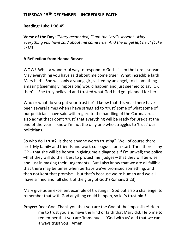## **TUESDAY 15TH DECEMBER – INCREDIBLE FAITH**

**Reading**: Luke 1:38-45

**Verse of the Day:** *"Mary responded, "I am the Lord's servant. May everything you have said about me come true. And the angel left her." (Luke 1:38)*

#### **A Reflection from Hanna Rosser**

WOW! What a wonderful way to respond to God – 'I am the Lord's servant. May everything you have said about me come true.' What incredible faith Mary had! She was only a young girl, visited by an angel, told something amazing (seemingly impossible) would happen and just seemed to say 'OK then'. She truly believed and trusted what God had got planned for her.

Who or what do you put your trust in? I know that this year there have been several times when I have struggled to 'trust' some of what some of our politicians have said with regard to the handling of the Coronavirus. I also admit that I don't 'trust' that everything will be ready for Brexit at the end of the year. I know I'm not the only one who struggles to 'trust' our politicians.

So who do I trust? Is there anyone worth trusting? Well of course there are! My family and friends and work-colleagues for a start. Then there's my GP – that she will be honest in giving me a diagnosis if I'm unwell; the police –that they will do their best to protect me; judges – that they will be wise and just in making their judgements. But I also know that we are all fallible, that there may be times when perhaps we've promised something, and then not kept that promise – but that's because we're human and we all 'have sinned and fall short of the glory of God' (Romans 3:23).

Mary give us an excellent example of trusting in God but also a challenge: to remember that with God anything could happen, so let's trust him!

**Prayer:** Dear God, Thank you that you are the God of the impossible! Help me to trust you and have the kind of faith that Mary did. Help me to remember that you are 'Immanuel' - 'God with us' and that we can always trust you! Amen.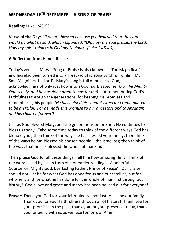## **WEDNESDAY 16TH DECEMBER – A SONG OF PRAISE**

**Reading:** Luke 1:45-55

**Verse of the Day:** *""You are blessed because you believed that the Lord would do what he said. Mary responded, "Oh, how my soul praises the Lord. How my spirit rejoices in God my Saviour!" (Luke 1:45-46)*

#### **A Reflection from Hanna Rosser**

Today's verses – Mary's Song of Praise is also known as 'The Magnificat' and has also been turned into a great worship song by Chris Tomlin: 'My Soul Magnifies the Lord'. Mary's song is full of praise to God, acknowledging not only just how much God has blessed her *(For the Mighty One is holy, and he has done great things for me),* but remembering God's faithfulness through the generations, for keeping his promises and remembering his people *(He has helped his servant Israel and remembered to be merciful. For he made this promise to our ancestors and to Abraham and his children forever').*

Just as God blessed Mary, and the generations before her, He continues to bless us today. Take some time today to think of the different ways God has blessed you ; then think of the ways he has blessed your family; then think of the ways he has blessed his chosen people – the Israelites; then think of the ways that he has blessed the whole of mankind.

Then praise God for all these things. Tell him how amazing He is! Think of the words used by Isaiah from one or earlier readings: 'Wonderful Counsellor, Mighty God, Everlasting Father, Prince of Peace'. Our praise should not just be for what God has done for us and our families, but for who he is and for what he has done for the whole of mankind throughout history! God's love and grace and mercy has been poured out for everyone!

**Prayer:** Thank you God for your faithfulness - not just to us and our family. Thank you for your faithfulness through all of history! Thank you for your promises in the past, thank you for your presence today, thank you for being with us as we face tomorrow. Amen.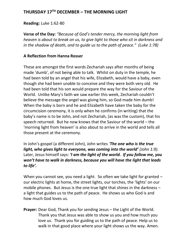### **THURSDAY 17TH DECEMBER – THE MORNING LIGHT**

#### **Reading:** Luke 1:62-80

**Verse of the Day:** *"Because of God's tender mercy, the morning light from heaven is about to break on us, to give light to those who sit in darkness and in the shadow of death, and to guide us to the path of peace." (Luke 1:78)*

#### **A Reflection from Hanna Rosser**

These are amongst the first words Zechariah says after months of being made 'dumb', of not being able to talk. Whilst on duty in the temple, he had been told by an angel that his wife, Elizabeth, would have a baby, even though she had been unable to conceive and they were both very old. He had been told that his son would prepare the way for the Saviour of the World. Unlike Mary's faith we saw earlier this week, Zechariah couldn't believe the message the angel was giving him, so God made him dumb! When the baby is born and he and Elizabeth have taken the baby for the circumcision ceremony, it is only when he confirms (in writing) that the baby's name is to be John, and not Zechariah, (as was the custom), that his speech returned. But he now knows that the Saviour of the world – the 'morning light from heaven' is also about to arrive in the world and tells all those present at the ceremony.

In John's gospel (a different John), John writes *'The one who is the true light, who gives light to everyone, was coming into the world' (John 1:9).*  Later, Jesus himself says: *'I am the light of the world. If you follow me, you won't have to walk in darkness, because you will have the light that leads to life'.*

When you cannot see, you need a light. So often we take light for granted our electric lights at home, the street lights, our torches, the 'lights' on our mobile phones. But Jesus is the one true light that shines in the darkness – a light that guides us to the path of peace. He shows us who God is and how much God loves us.

**Prayer:** Dear God, Thank you for sending Jesus – the Light of the World. Thank you that Jesus was able to show us you and how much you love us. Thank you for guiding us to the path of peace. Help us to walk in that good place where your light shows us the way. Amen.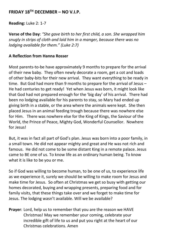### **FRIDAY 18TH DECEMBER – NO V.I.P.**

**Reading:** Luke 2: 1-7

**Verse of the Day**: *"She gave birth to her first child, a son. She wrapped him snugly in strips of cloth and laid him in a manger, because there was no lodging available for them." (Luke 2:7)*

#### **A Reflection from Hanna Rosser**

Most parents-to-be have approximately 9 months to prepare for the arrival of their new baby. They often newly decorate a room, get a cot and loads of other baby-bits for their new arrival. They want everything to be ready in time. But God had more than 9 months to prepare for the arrival of Jesus – He had centuries to get ready! Yet when Jesus was born, it might look like that God had not prepared enough for the 'big day' of his arrival. There had been no lodging available for his parents to stay, so Mary had ended up giving birth in a stable, or the area where the animals were kept. She then placed Jesus in an animal feeding trough because there was nowhere else for Him. There was nowhere else for the King of Kings, the Saviour of the World, the Prince of Peace, Mighty God, Wonderful Counsellor. Nowhere for Jesus!

But, it was in fact all part of God's plan. Jesus was born into a poor family, in a small town. He did not appear mighty and great and He was not rich and famous. He did not come to be some distant King in a remote palace. Jesus came to BE one of us. To know life as an ordinary human being. To know what it is like to be you or me.

So if God was willing to become human, to be one of us, to experience life as we experience it, surely we should be willing to make room for Jesus and make time for Jesus. So often at Christmas we get so busy with getting our homes decorated, buying and wrapping presents, preparing food and for family visits, that these things take over and we forget to make time for Jesus. The lodging wasn't available. Will we be available?

**Prayer**: Lord, help us to remember that you are the reason we HAVE Christmas! May we remember your coming, celebrate your incredible gift of life to us and put you right at the heart of our Christmas celebrations. Amen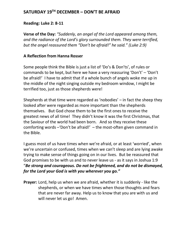### **SATURDAY 19TH DECEMBER – DON'T BE AFRAID**

#### **Reading: Luke 2: 8-11**

**Verse of the Day:** *"Suddenly, an angel of the Lord appeared among them, and the radiance of the Lord's glory surrounded them. They were terrified, but the angel reassured them "Don't be afraid!" he said." (Luke 2:9)*

#### **A Reflection from Hanna Rosser**

Some people think the Bible is just a list of 'Do's & Don'ts', of rules or commands to be kept, but here we have a very reassuring 'Don't' – 'Don't be afraid!' I have to admit that if a whole bunch of angels woke me up in the middle of the night singing outside my bedroom window, I might be terrified too, just as those shepherds were!

Shepherds at that time were regarded as 'nobodies' – in fact the sheep they looked after were regarded as more important than the shepherds themselves. But God chose them to be the first ones to receive the greatest news of all time! They didn't know it was the first Christmas, that the Saviour of the world had been born. And so they receive these comforting words –'Don't be afraid!' – the most-often given command in the Bible.

I guess most of us have times when we're afraid, or at least 'worried', when we're uncertain or confused, times when we can't sleep and are lying awake trying to make sense of things going on in our lives. But be reassured that God promises to be with us and to never leave us - as it says in Joshua 1:9 "*Be strong and courageous. Do not be frightened, and do not be dismayed, for the Lord your God is with you wherever you go."*

**Prayer:** Lord, help us when we are afraid, whether it is suddenly - like the shepherds, or when we have times when those thoughts and fears that are never far away. Help us to know that you are with us and will never let us go! Amen.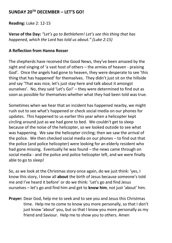### **SUNDAY 20TH DECEMBER – LET'S GO!**

**Reading:** Luke 2: 12-15

**Verse of the Day:** *"Let's go to Bethlehem! Let's see this thing that has happened, which the Lord has told us about." (Luke 2:15)*

#### **A Reflection from Hanna Rosser**

The shepherds have received the Good News, they've been amazed by the sight and singing of 'a vast host of others – the armies of heaven - praising God'. Once the angels had gone to heaven, they were desperate to see 'this thing that has happened' for themselves. They didn't just sit on the hillside and say 'That was nice, let's just stay here and talk about it amongst ourselves'. No, they said 'Let's Go!' – they were determined to find out as soon as possible for themselves whether what they had been told was true.

Sometimes when we hear that an incident has happened nearby, we might rush out to see what's happened or check social media on our phones for updates. This happened to us earlier this year when a helicopter kept circling around just as we had gone to bed. We couldn't get to sleep because of the noise of the helicopter, so we looked outside to see what was happening. We saw the helicopter circling; then we saw the arrival of the police. We then checked social media on our phones – to find out that the police (and police helicopter) were looking for an elderly resident who had gone missing. Eventually he was found – the news came through on social media - and the police and police helicopter left, and we were finally able to go to sleep!

So, as we look at the Christmas story once again, do we just think: 'yes, I know this story, I know all **about** the birth of Jesus because someone's told me and I've heard it before' or do we think: 'Let's go and find Jesus ourselves – let's go and find him and get to **know him**, not just 'about' him.

**Prayer:** Dear God, help me to seek and to see you and Jesus this Christmas time. Help me to come to know you more personally, so that I don't just know 'about' you, but so that I know you more personally as my friend and Saviour. Help me to show you to others. Amen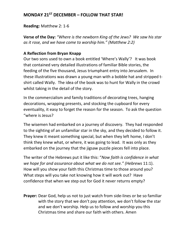# **MONDAY 21ST DECEMBER – FOLLOW THAT STAR!**

**Reading:** Matthew 2: 1-6

**Verse of the Day:** *"Where is the newborn King of the Jews? We saw his star as it rose, and we have come to worship him." (Matthew 2:2)*

### **A Reflection from Bryan Knapp**

Our two sons used to own a book entitled 'Where's Wally'? It was book that contained very detailed illustrations of familiar Bible stories, the feeding of the five thousand, Jesus triumphant entry into Jerusalem. In these illustrations was drawn a young man with a bobble hat and stripped tshirt called Wally. The idea of the book was to hunt for Wally in the crowd whilst taking in the detail of the story.

In the commercialism and family traditions of decorating trees, hanging decorations, wrapping presents, and stocking the cupboard for every eventuality, it easy to forget the reason for the season. To ask the question "where is Jesus?

The wisemen had embarked on a journey of discovery. They had responded to the sighting of an unfamiliar star in the sky, and they decided to follow it. They knew it meant something special, but when they left home, I don't think they knew what, or where, it was going to lead. It was only as they embarked on the journey that the jigsaw puzzle pieces fell into place.

The writer of the Hebrews put it like this: "*Now faith is confidence in what we hope for and assurance about what we do not see." (Hebrews* 11:1). How will you show your faith this Christmas time to those around you? What steps will you take not knowing how it will work out? Have confidence that when we step out for God it never returns empty?

**Prayer:** Dear God, help us not to just watch from side-lines or be so familiar with the story that we don't pay attention, we don't follow the star and we don't worship. Help us to follow and worship you this Christmas time and share our faith with others. Amen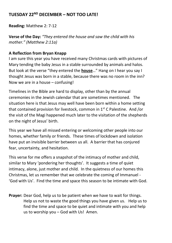## **TUESDAY 22ND DECEMBER – NOT TOO LATE!**

**Reading:** Matthew 2: 7-12

**Verse of the Day:** *"They entered the house and saw the child with his mother." (Matthew 2:11a)*

#### **A Reflection from Bryan Knapp**

I am sure this year you have received many Christmas cards with pictures of Mary tending the baby Jesus in a stable surrounded by animals and halos. But look at the verse "they entered the **house**…" Hang on I hear you say I thought Jesus was born in a stable, because there was no room in the inn? Now we are in a house – confusing!

Timelines in the Bible are hard to display, other than by the annual ceremonies in the Jewish calendar that are sometimes mentioned. The situation here is that Jesus may well have been born within a home setting that contained provision for livestock, common in  $1<sup>st</sup>$  C Palestine. And /or the visit of the Magi happened much later to the visitation of the shepherds on the night of Jesus' birth.

This year we have all missed entering or welcoming other people into our homes, whether family or friends. These times of lockdown and isolation have put an invisible barrier between us all. A barrier that has conjured fear, uncertainty, and hesitation.

This verse for me offers a snapshot of the intimacy of mother and child, similar to Mary 'pondering her thoughts'. It suggests a time of quiet intimacy, alone, just mother and child. In the quietness of our homes this Christmas, let us remember that we celebrate the coming of Immanuel - 'God with Us'. Find the time and space this season to be intimate with God.

**Prayer:** Dear God, help us to be patient when we have to wait for things. Help us not to waste the good things you have given us. Help us to find the time and space to be quiet and intimate with you and help us to worship you – God with Us! Amen.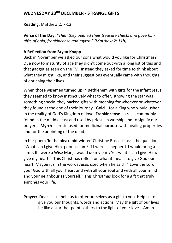# **WEDNESDAY 23RD DECEMBER - STRANGE GIFTS**

**Reading**: Matthew 2: 7-12

**Verse of the Day:** *"Then they opened their treasure chests and gave him gifts of gold, frankincense and myrrh." (Matthew 2: 11b)*

#### **A Reflection from Bryan Knapp**

Back in November we asked our sons what would you like for Christmas? Due now to maturity of age they didn't come out with a long list of this and that gadget as seen on the TV. Instead they asked for time to think about what they might like, and their suggestions eventually came with thoughts of enriching their lives!

When those wisemen turned up in Bethlehem with gifts for the infant Jesus, they seemed to know instinctively what to offer. Knowing the star was something special they packed gifts with meaning for whoever or whatever they found at the end of their journey. **Gold** – for a King who would usher in the reality of God's Kingdom of love. **Frankincense** - a resin commonly found in the middle east and used by priests in worship and to signify our prayers. **Myrrh** - a resin used for medicinal purpose with healing properties and for the anointing of the dead.

In her poem 'In the bleak mid-winter' Christine Rossetti asks the question "What can I give Him, poor as I am? If I were a shepherd, I would bring a lamb; If I were a Wise Man, I would do my part; Yet what I can I give Him: give my heart." This Christmas reflect on what it means to give God our heart. Maybe it's in the words Jesus used when he said "'Love the Lord your God with all your heart and with all your soul and with all your mind and your neighbour as yourself.' This Christmas look for a gift that truly enriches your life.

**Prayer:** Dear Jesus, help us to offer ourselves as a gift to you. Help us to give you our thoughts, words and actions. May the gift of our lives be like a star that points others to the light of your love. Amen.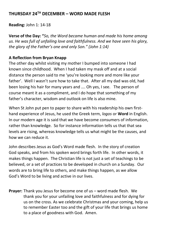## **THURSDAY 24TH DECEMBER – WORD MADE FLESH**

**Reading:** John 1: 14-18

**Verse of the Day: "***So, the Word became human and made his home among us. He was full of unfailing love and faithfulness. And we have seen his glory, the glory of the Father's one and only Son." (John 1:14)*

### **A Reflection from Bryan Knapp**

The other day whilst visiting my mother I bumped into someone I had known since childhood. When I had taken my mask off and at a social distance the person said to me 'you're looking more and more like your father'. Well I wasn't sure how to take that. After all my dad was old, had been losing his hair for many years and …. Oh yes, I see. The person of course meant it as a compliment, and I do hope that something of my father's character, wisdom and outlook on life is also mine.

When St John put pen to paper to share with his readership his own firsthand experience of Jesus, he used the Greek term, *logos* or **Word** in English. In our modern age it is said that we have become consumers of information, rather than knowledge. So for instance information tells us that that sea levels are rising, whereas knowledge tells us what might be the causes, and how we can reduce it.

John describes Jesus as God's Word made flesh. In the story of creation God speaks, and from his spoken word brings forth life. In other words, it makes things happen. The Christian life is not just a set of teachings to be believed, or a set of practices to be developed in church on a Sunday. Our words are to bring life to others, and make things happen, as we allow God's Word to be living and active in our lives.

**Prayer:** Thank you Jesus for become one of us – word made flesh. We thank you for your unfailing love and faithfulness and for dying for us on the cross. As we celebrate Christmas and your coming, help us to remember Easter too and the gift of your life that brings us home to a place of goodness with God. Amen.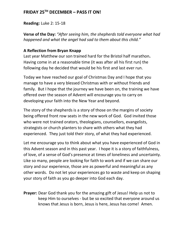# **FRIDAY 25TH DECEMBER – PASS IT ON!**

**Reading:** Luke 2: 15-18

**Verse of the Day:** *"After seeing him, the shepherds told everyone what had happened and what the angel had sad to them about this child."* 

### **A Reflection from Bryan Knapp**

Last year Matthew our son trained hard for the Bristol half marathon**.**  Having come in at a reasonable time (it was after all his first run) the following day he decided that would be his first and last ever run.

Today we have reached our goal of Christmas Day and I hope that you manage to have a very blessed Christmas with or without friends and family. But I hope that the journey we have been on, the training we have offered over the season of Advent will encourage you to carry on developing your faith into the New Year and beyond.

The story of the shepherds is a story of those on the margins of society being offered front row seats in the new work of God. God invited those who were not trained orators, theologians, counsellors, evangelists, strategists or church planters to share with others what they had experienced. They just told their story, of what they had experienced.

Let me encourage you to think about what you have experienced of God in this Advent season and in this past year. I hope it is a story of faithfulness, of love, of a sense of God's presence at times of loneliness and uncertainty. Like so many, people are looking for faith to work and if we can share our story and our experience, those are as powerful and meaningful as any other words. Do not let your experiences go to waste and keep on shaping your story of faith as you go deeper into God each day.

**Prayer:** Dear God thank you for the amazing gift of Jesus! Help us not to keep Him to ourselves - but be so excited that everyone around us knows that Jesus is born, Jesus is here, Jesus has come! Amen.